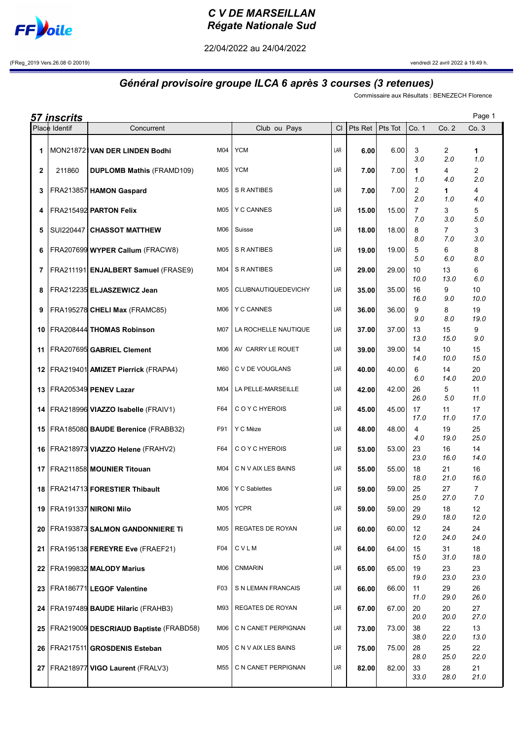

## C V DE MARSEILLAN Régate Nationale Sud

22/04/2022 au 24/04/2022

(FReg\_2019 Vers.26.08 © 20019) vendredi 22 avril 2022 à 19.49 h.

## Général provisoire groupe ILCA 6 après 3 courses (3 retenues)

Commissaire aux Résultats : BENEZECH Florence

|                 | <u>57 inscrits</u> |                                                                              |                                          |            |                |                |                                 |                       | Page 1                |
|-----------------|--------------------|------------------------------------------------------------------------------|------------------------------------------|------------|----------------|----------------|---------------------------------|-----------------------|-----------------------|
|                 | Place Identif      | Concurrent                                                                   | Club ou Pays                             | <b>CI</b>  | Pts Ret        | Pts Tot        | Co. 1                           | Co. 2                 | Co.3                  |
| 1               |                    | M04<br>MON218721VAN DER LINDEN Bodhi                                         | <b>YCM</b>                               | LAR        | 6.00           | 6.00           | 3<br>3.0                        | $\overline{2}$<br>2.0 | 1<br>1.0              |
| $\overline{2}$  | 211860             | M05<br><b>DUPLOMB Mathis (FRAMD109)</b>                                      | <b>YCM</b>                               | LAR        | 7.00           | 7.00           | 1<br>1.0                        | 4<br>4.0              | $\overline{2}$<br>2.0 |
| 3               |                    | M05<br>FRA213857 HAMON Gaspard                                               | S R ANTIBES                              | LAR        | 7.00           | 7.00           | 2<br>2.0                        | 1<br>1.0              | 4<br>4.0              |
| 4               |                    | FRA215492 PARTON Felix<br>M05                                                | <b>Y C CANNES</b>                        | LAR        | 15.00          | 15.00          | $\overline{7}$<br>7.0           | 3<br>3.0              | 5<br>5.0              |
| 5               |                    | SUI220447 CHASSOT MATTHEW<br>M06                                             | Suisse                                   | LAR        | 18.00          | 18.00          | 8<br>8.0                        | $\overline{7}$<br>7.0 | 3<br>3.0              |
| 6               |                    | FRA207699 WYPER Callum (FRACW8)<br>M05                                       | S R ANTIBES                              | LAR        | 19.00          | 19.00          | 5<br>5.0                        | 6<br>6.0              | 8<br>8.0              |
| 7               |                    | FRA211191 ENJALBERT Samuel (FRASE9)<br>M04                                   | S R ANTIBES                              | LAR        | 29.00          | 29.00          | 10<br>10.0                      | 13<br>13.0            | 6<br>6.0              |
| 8               |                    | FRA212235 ELJASZEWICZ Jean<br>M05                                            | CLUBNAUTIQUEDEVICHY                      | LAR        | 35.00          | 35.00          | 16<br>16.0                      | 9<br>9.0              | 10<br>10.0            |
| 9               |                    | FRA195278 CHELI Max (FRAMC85)<br>M06                                         | <b>Y C CANNES</b>                        | LAR        | 36.00          | 36.00          | 9<br>9.0                        | 8<br>8.0              | 19<br>19.0            |
| 10              |                    | M07<br>FRA208444 THOMAS Robinson                                             | LA ROCHELLE NAUTIQUE                     | LAR        | 37.00          | 37.00          | 13<br>13.0                      | 15<br>15.0            | 9<br>9.0              |
| 11              |                    | FRA207695 GABRIEL Clement<br>M06                                             | AV CARRY LE ROUET                        | LAR        | 39.00          | 39.00          | 14<br>14.0                      | 10<br>10.0            | 15<br>15.0            |
|                 |                    | 12   FRA219401   AMIZET Pierrick (FRAPA4)<br>M60                             | C V DE VOUGLANS                          | LAR        | 40.00          | 40.00          | 6<br>6.0                        | 14<br>14.0            | 20<br>20.0            |
| 13              |                    | FRA205349 PENEV Lazar<br>M04                                                 | LA PELLE-MARSEILLE                       | LAR        | 42.00          | 42.00          | 26<br>26.0                      | 5<br>5.0              | 11<br>11.0            |
| 14              |                    | FRA218996 VIAZZO Isabelle (FRAIV1)<br>F64                                    | C O Y C HYEROIS                          | LAR        | 45.00          | 45.00          | 17<br>17.0                      | 11<br>11.0            | 17<br>17.0            |
| 15 <sup>1</sup> |                    | FRA185080 BAUDE Berenice (FRABB32)<br>F91                                    | Y C Mèze                                 | LAR        | 48.00          | 48.00          | 4<br>4.0                        | 19<br>19.0            | 25<br>25.0            |
| 16              |                    | FRA218973 VIAZZO Helene (FRAHV2)<br>F64                                      | C O Y C HYEROIS                          | LAR        | 53.00          | 53.00          | 23<br>23.0                      | 16<br>16.0            | 14<br>14.0            |
| 17 <sup>1</sup> |                    | FRA211858 MOUNIER Titouan<br>M04                                             | C N V AIX LES BAINS                      | LAR        | 55.00          | 55.00          | 18<br>18.0                      | 21<br>21.0            | 16<br>16.0            |
| 18              |                    | FRA214713 FORESTIER Thibault<br>M <sub>05</sub>                              | M06 $\vert$ Y C Sablettes<br><b>YCPR</b> | LAR<br>LAR | 59.00          | 59.00          | 25<br>25.0                      | 27<br>27.0            | $\overline{7}$<br>7.0 |
| 20              |                    | 19   FRA191337  <b>NIRONI Milo</b><br>FRA193873 SALMON GANDONNIERE Ti<br>M05 | <b>REGATES DE ROYAN</b>                  | LAR        | 59.00          | 59.00<br>60.00 | 29<br>29.0<br>$12 \overline{ }$ | 18<br>18.0<br>24      | 12<br>12.0<br>24      |
| 21              |                    | F04<br>FRA195138 FEREYRE Eve (FRAEF21)                                       | CVLM                                     | LAR        | 60.00<br>64.00 | 64.00          | 12.0<br>15                      | 24.0<br>31            | 24.0<br>18            |
| 22              |                    | FRA199832 MALODY Marius<br>M06                                               | CNMARIN                                  | LAR        | 65.00          | 65.00          | 15.0<br>19                      | 31.0<br>23            | 18.0<br>23            |
| 23              |                    | F <sub>0</sub> 3<br>FRA186771 LEGOF Valentine                                | S N LEMAN FRANCAIS                       | LAR        | 66.00          | 66.00          | 19.0<br>11                      | 23.0<br>29            | 23.0<br>26            |
| 24              |                    | FRA197489 BAUDE Hilaric (FRAHB3)<br>M93                                      | REGATES DE ROYAN                         | LAR        | 67.00          | 67.00          | 11.0<br>20                      | 29.0<br>20            | 26.0<br>27            |
| 25              |                    | M06<br>FRA219009 DESCRIAUD Baptiste (FRABD58)                                | C N CANET PERPIGNAN                      | LAR        | 73.00          | 73.00          | 20.0<br>38                      | 20.0<br>22            | 27.0<br>13            |
| 26              |                    | FRA217511 GROSDENIS Esteban<br>M05                                           | C N V AIX LES BAINS                      | LAR        | 75.00          | 75.00          | 38.0<br>28                      | 22.0<br>25            | 13.0<br>22            |
| 27              |                    | FRA218977 VIGO Laurent (FRALV3)<br>M55                                       | C N CANET PERPIGNAN                      | LAR        | 82.00          | 82.00          | 28.0<br>33                      | 25.0<br>28            | 22.0<br>21            |
|                 |                    |                                                                              |                                          |            |                |                | 33.0                            | 28.0                  | 21.0                  |